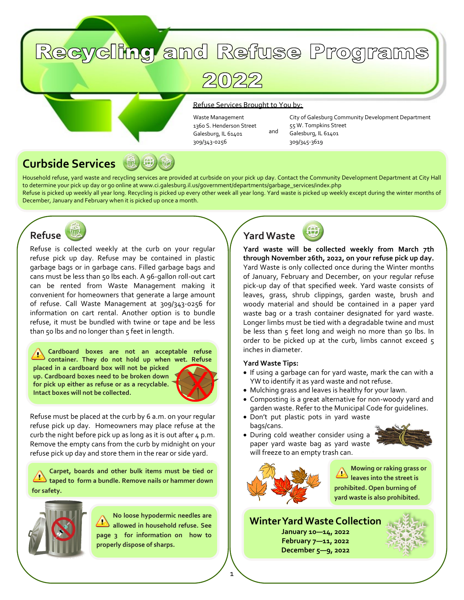# Recycling and Refuse Programs

2022

#### Refuse Services Brought to You by:

Waste Management 1360 S. Henderson Street Galesburg, IL 61401 309/343-0256

City of Galesburg Community Development Department 55 W. Tompkins Street Galesburg, IL 61401 309/345-3619

#### 微母 **Curbside Services**

Household refuse, yard waste and recycling services are provided at curbside on your pick up day. Contact the Community Development Department at City Hall to determine your pick up day or go online at www.ci.galesburg.il.us/government/departments/garbage\_services/index.php Refuse is picked up weekly all year long. Recycling is picked up every other week all year long. Yard waste is picked up weekly except during the winter months of December, January and February when it is picked up once a month.



Refuse is collected weekly at the curb on your regular refuse pick up day. Refuse may be contained in plastic garbage bags or in garbage cans. Filled garbage bags and cans must be less than 50 lbs each. A 96-gallon roll-out cart can be rented from Waste Management making it convenient for homeowners that generate a large amount of refuse. Call Waste Management at 309/343-0256 for information on cart rental. Another option is to bundle refuse, it must be bundled with twine or tape and be less than 50 lbs and no longer than  $5$  feet in length.

**Cardboard boxes are not an acceptable refuse container. They do not hold up when wet. Refuse placed in a cardboard box will not be picked up. Cardboard boxes need to be broken down for pick up either as refuse or as a recyclable. Intact boxes will not be collected.**



Refuse must be placed at the curb by 6 a.m. on your regular refuse pick up day. Homeowners may place refuse at the curb the night before pick up as long as it is out after  $4 \text{ p.m.}$ Remove the empty cans from the curb by midnight on your refuse pick up day and store them in the rear or side yard.

**Carpet, boards and other bulk items must be tied or taped to form a bundle. Remove nails or hammer down for safety.**



**No loose hypodermic needles are allowed in household refuse. See page 3 for information on how to properly dispose of sharps.**



and

**Yard waste will be collected weekly from March 7th through November 26th, 2022, on your refuse pick up day.**  Yard Waste is only collected once during the Winter months of January, February and December, on your regular refuse pick-up day of that specified week. Yard waste consists of leaves, grass, shrub clippings, garden waste, brush and woody material and should be contained in a paper yard waste bag or a trash container designated for yard waste. Longer limbs must be tied with a degradable twine and must be less than 5 feet long and weigh no more than 50 lbs. In order to be picked up at the curb, limbs cannot exceed 5 inches in diameter.

#### **Yard Waste Tips:**

- If using a garbage can for yard waste, mark the can with a YW to identify it as yard waste and not refuse.
- Mulching grass and leaves is healthy for your lawn.
- Composting is a great alternative for non-woody yard and garden waste. Refer to the Municipal Code for guidelines.
- Don't put plastic pots in yard waste bags/cans.



• During cold weather consider using a paper yard waste bag as yard waste will freeze to an empty trash can.



1

**Mowing or raking grass or leaves into the street is prohibited. Open burning of yard waste is also prohibited.**

# **Winter Yard Waste Collection**

**January 10—14, 2022 February 7—11, 2022 December 5—9, 2022**

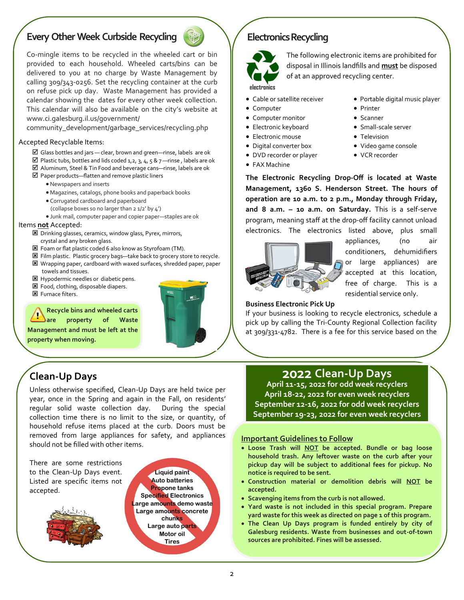# **Every Other Week Curbside Recycling**



Co-mingle items to be recycled in the wheeled cart or bin provided to each household. Wheeled carts/bins can be delivered to you at no charge by Waste Management by calling 309/343-0256. Set the recycling container at the curb on refuse pick up day. Waste Management has provided a calendar showing the dates for every other week collection. This calendar will also be available on the city's website at www.ci.galesburg.il.us/government/

community\_development/garbage\_services/recycling.php

#### Accepted Recyclable Items:

- $\boxtimes$  Glass bottles and jars clear, brown and green—rinse, labels are ok
- $\boxtimes$  Plastic tubs, bottles and lids coded 1,2, 3, 4, 5 & 7 —rinse, labels are ok
- Aluminum, Steel & Tin Food and beverage cans—rinse, labels are ok
- $\boxtimes$  Paper products—flatten and remove plastic liners
	- •Newspapers and inserts
	- Magazines, catalogs, phone books and paperback books
	- Corrugated cardboard and paperboard (collapse boxes so no larger than 2 1/2' by 4')
	- Junk mail, computer paper and copier paper—staples are ok

#### Items **not** Accepted:

- Drinking glasses, ceramics, window glass, Pyrex, mirrors, crystal and any broken glass.
- Foam or flat plastic coded 6 also know as Styrofoam (TM).
- **E** Film plastic. Plastic grocery bags—take back to grocery store to recycle. Wrapping paper, cardboard with waxed surfaces, shredded paper, paper towels and tissues.

Unless otherwise specified, Clean-Up Days are held twice per year, once in the Spring and again in the Fall, on residents' regular solid waste collection day. During the special collection time there is no limit to the size, or quantity, of household refuse items placed at the curb. Doors must be removed from large appliances for safety, and appliances

- **E** Hypodermic needles or diabetic pens.
- Food, clothing, disposable diapers.
- **E** Furnace filters.

**Clean-Up Days**

**Recycle bins and wheeled carts** 

**are property of Waste** 

**Management and must be left at the property when moving.**



**Liquid paint Auto batteries Propone tanks Specified Electronics Large amounts demo waste Large amounts concrete chunks Large auto parts Motor oil Tires**

#### **Electronics Recycling**



The following electronic items are prohibited for disposal in Illinois landfills and **must** be disposed of at an approved recycling center.

#### • Cable or satellite receiver

- Computer
- Computer monitor
- Electronic keyboard
- Electronic mouse
- Digital converter box
- DVD recorder or player
- 
- FAX Machine
- Portable digital music player
- Printer
- Scanner
- Small-scale server
- Television
- Video game console
- VCR recorder

**The Electronic Recycling Drop-Off is located at Waste Management, 1360 S. Henderson Street. The hours of operation are 10 a.m. to 2 p.m., Monday through Friday, and 8 a.m. – 10 a.m. on Saturday.** This is a self-serve program, meaning staff at the drop-off facility cannot unload electronics. The electronics listed above, plus small



appliances, (no air conditioners, dehumidifiers or large appliances) are accepted at this location, free of charge. This is a residential service only.

#### **Business Electronic Pick Up**

If your business is looking to recycle electronics, schedule a pick up by calling the Tri-County Regional Collection facility at 309/331-4782. There is a fee for this service based on the

# **2022 Clean-Up Days**

**April 11-15, 2022 for odd week recyclers April 18-22, 2022 for even week recyclers September 12-16, 2022 for odd week recyclers September 19-23, 2022 for even week recyclers**

#### **Important Guidelines to Follow**

- **Loose Trash will NOT be accepted. Bundle or bag loose household trash. Any leftover waste on the curb after your pickup day will be subject to additional fees for pickup. No notice is required to be sent.**
- **Construction material or demolition debris will NOT be accepted.**
- **Scavenging items from the curb is not allowed.**
- **Yard waste is not included in this special program. Prepare yard waste for this week as directed on page 1 of this program.**
- **The Clean Up Days program is funded entirely by city of Galesburg residents. Waste from businesses and out-of-town sources are prohibited. Fines will be assessed.**

There are some restrictions to the Clean-Up Days event. Listed are specific items not accepted.

should not be filled with other items.

 $\mathcal{L}$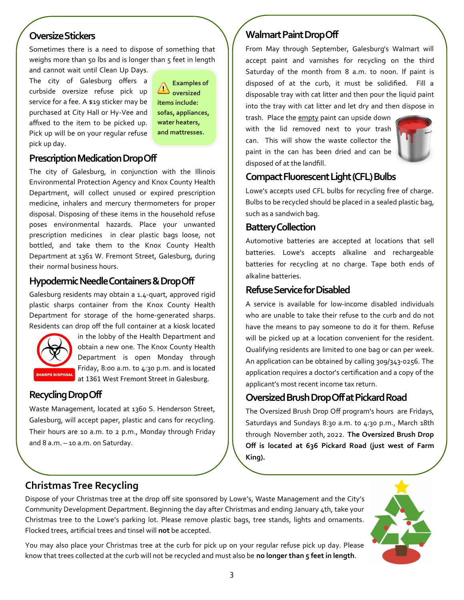## **Oversize Stickers**

Sometimes there is a need to dispose of something that weighs more than 50 lbs and is longer than 5 feet in length and cannot wait until Clean Up Days.

The city of Galesburg offers a curbside oversize refuse pick up service for a fee. A \$19 sticker may be purchased at City Hall or Hy-Vee and affixed to the item to be picked up. Pick up will be on your regular refuse pick up day.

**Examples of**  *<u>A* oversized</u> **items include: sofas, appliances, water heaters, and mattresses.**

## **Prescription Medication Drop Off**

The city of Galesburg, in conjunction with the Illinois Environmental Protection Agency and Knox County Health Department, will collect unused or expired prescription medicine, inhalers and mercury thermometers for proper disposal. Disposing of these items in the household refuse poses environmental hazards. Place your unwanted prescription medicines in clear plastic bags loose, not bottled, and take them to the Knox County Health Department at 1361 W. Fremont Street, Galesburg, during their normal business hours.

## **Hypodermic Needle Containers & Drop Off**

Galesburg residents may obtain a 1.4-quart, approved rigid plastic sharps container from the Knox County Health Department for storage of the home-generated sharps. Residents can drop off the full container at a kiosk located



in the lobby of the Health Department and obtain a new one. The Knox County Health Department is open Monday through Friday, 8:00 a.m. to 4:30 p.m. and is located **SHARPS DISPOSAL** at 1361 West Fremont Street in Galesburg.

## **Recycling Drop Off**

Waste Management, located at 1360 S. Henderson Street, Galesburg, will accept paper, plastic and cans for recycling. Their hours are 10 a.m. to 2 p.m., Monday through Friday and 8 a.m. – 10 a.m. on Saturday.

## **Walmart Paint Drop Off**

From May through September, Galesburg's Walmart will accept paint and varnishes for recycling on the third Saturday of the month from 8 a.m. to noon. If paint is disposed of at the curb, it must be solidified. Fill a disposable tray with cat litter and then pour the liquid paint into the tray with cat litter and let dry and then dispose in

trash. Place the empty paint can upside down with the lid removed next to your trash can. This will show the waste collector the paint in the can has been dried and can be disposed of at the landfill.



## **Compact Fluorescent Light (CFL) Bulbs**

Lowe's accepts used CFL bulbs for recycling free of charge. Bulbs to be recycled should be placed in a sealed plastic bag, such as a sandwich bag.

## **Battery Collection**

Automotive batteries are accepted at locations that sell batteries. Lowe's accepts alkaline and rechargeable batteries for recycling at no charge. Tape both ends of alkaline batteries.

## **RefuseService for Disabled**

A service is available for low-income disabled individuals who are unable to take their refuse to the curb and do not have the means to pay someone to do it for them. Refuse will be picked up at a location convenient for the resident. Qualifying residents are limited to one bag or can per week. An application can be obtained by calling 309/343-0256. The application requires a doctor's certification and a copy of the applicant's most recent income tax return.

## **Oversized Brush Drop Off at Pickard Road**

The Oversized Brush Drop Off program's hours are Fridays, Saturdays and Sundays 8:30 a.m. to 4:30 p.m., March 18th through November 20th, 2022. **The Oversized Brush Drop Off is located at 636 Pickard Road (just west of Farm King).**

# **Christmas Tree Recycling**

Dispose of your Christmas tree at the drop off site sponsored by Lowe's, Waste Management and the City's Community Development Department. Beginning the day after Christmas and ending January 4th, take your Christmas tree to the Lowe's parking lot. Please remove plastic bags, tree stands, lights and ornaments. Flocked trees, artificial trees and tinsel will **not** be accepted.